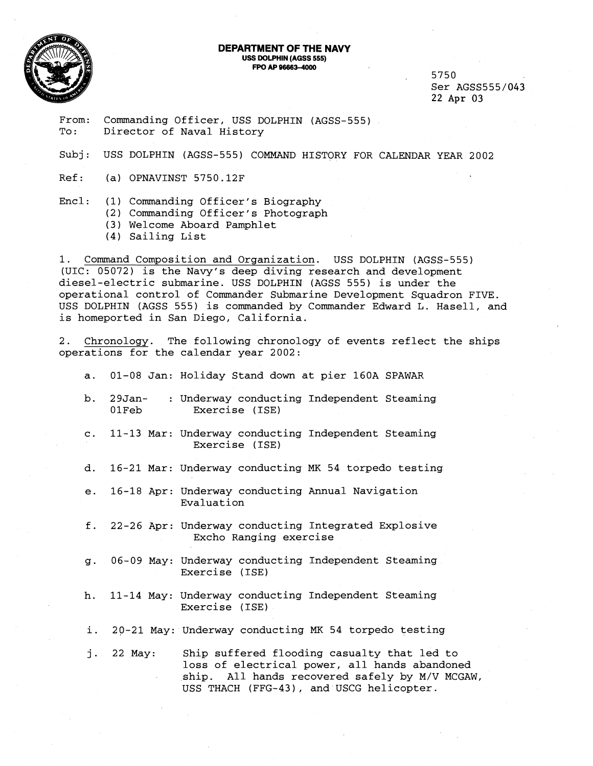

## **DEPARTMENT OF THE NAVY USS DOLPHIN(AGSS 555) FPO AP 96663-4000**

5750 Ser AGSS555/043 22 Apr 03

From: Commanding Officer, USS DOLPHIN (AGSS-555)<br>To: Director of Naval History Director of Naval History

Subj: USS DOLPHIN (AGSS-555) COMMAND HISTORY FOR CALENDAR YEAR 2002

Ref: (a) OPNAVINST 5750.12F

Encl: (1) Commanding Officer's Biography

(2) Commanding Officer's Photograph

- (3) Welcome Aboard Pamphlet
- (4) Sailing List

1. Command Composition and Organization. USS DOLPHIN (AGSS-555) (UIC: 05072) is the Navy's deep diving research and development diesel-electric submarine. USS DOLPHIN (AGSS 555) is under the operational control of Commander Submarine Development Squadron FIVE. USS DOLPHIN (AGSS 555) is commanded by Commander Edward L. Hasell, and is homeported in San Diego, California.

2. Chronology. The following chronology of events reflect the ships operations for the calendar year 2002:

- a. 01-08 Jan: Holiday Stand down at pier 160A SPAWAR
- b. 29Jan- : Underway conducting Independent Steaming OlFeb Exercise (ISE)
- c. 11-13 Mar: Underway conducting Independent Steaming Exercise (ISE)
- d. 16-21 Mar: Underway conducting MK 54 torpedo testing
- e. 16-18 Apr: Underway conducting Annual Navigation Evaluation
- f. 22-26 Apr: Underway conducting Integrated Explosive Excho Ranging exercise
- g. 06-09 May: Underway conducting Independent Steaming Exercise (ISE)
- h. 11-14 May: Underway conducting Independent Steaming Exercise (ISE)

i. 20-21 May: Underway conducting **MK** 54 torpedo testing

**j.** 22 May: Ship suffered flooding casualty that led to loss of electrical power, all hands abandoned ship. All hands recovered safely by M/V MCGAW, USS THACH (FFG-43), and USCG helicopter.